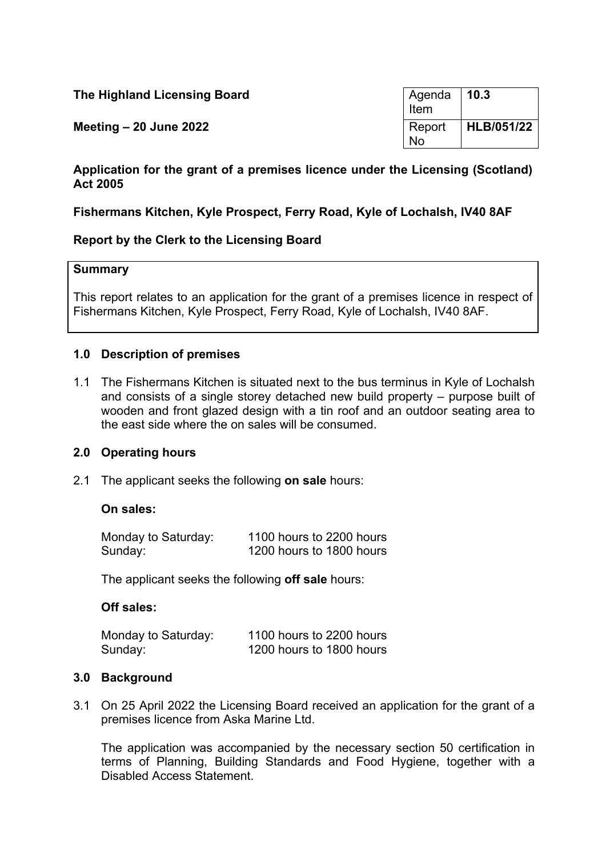| The Highland Licensing Board | l Agenda<br>Item | 10.3       |
|------------------------------|------------------|------------|
| Meeting $-20$ June 2022      | Report<br>No     | HLB/051/22 |

## **Application for the grant of a premises licence under the Licensing (Scotland) Act 2005**

# **Fishermans Kitchen, Kyle Prospect, Ferry Road, Kyle of Lochalsh, IV40 8AF**

## **Report by the Clerk to the Licensing Board**

### **Summary**

This report relates to an application for the grant of a premises licence in respect of Fishermans Kitchen, Kyle Prospect, Ferry Road, Kyle of Lochalsh, IV40 8AF.

## **1.0 Description of premises**

1.1 The Fishermans Kitchen is situated next to the bus terminus in Kyle of Lochalsh and consists of a single storey detached new build property – purpose built of wooden and front glazed design with a tin roof and an outdoor seating area to the east side where the on sales will be consumed.

## **2.0 Operating hours**

2.1 The applicant seeks the following **on sale** hours:

# **On sales:**

| Monday to Saturday: | 1100 hours to 2200 hours |
|---------------------|--------------------------|
| Sunday:             | 1200 hours to 1800 hours |

The applicant seeks the following **off sale** hours:

#### **Off sales:**

| Monday to Saturday: | 1100 hours to 2200 hours |
|---------------------|--------------------------|
| Sunday:             | 1200 hours to 1800 hours |

#### **3.0 Background**

3.1 On 25 April 2022 the Licensing Board received an application for the grant of a premises licence from Aska Marine Ltd.

The application was accompanied by the necessary section 50 certification in terms of Planning, Building Standards and Food Hygiene, together with a Disabled Access Statement.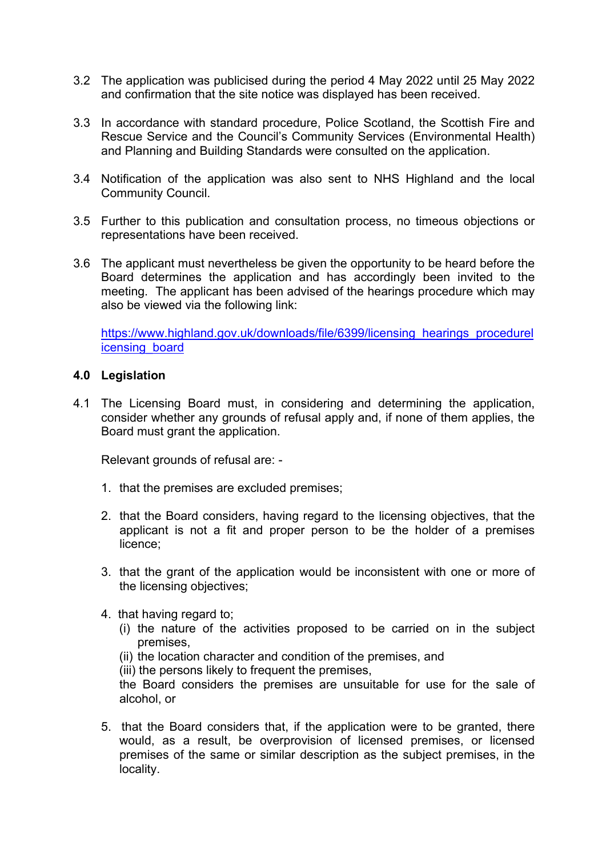- 3.2 The application was publicised during the period 4 May 2022 until 25 May 2022 and confirmation that the site notice was displayed has been received.
- 3.3 In accordance with standard procedure, Police Scotland, the Scottish Fire and Rescue Service and the Council's Community Services (Environmental Health) and Planning and Building Standards were consulted on the application.
- 3.4 Notification of the application was also sent to NHS Highland and the local Community Council.
- 3.5 Further to this publication and consultation process, no timeous objections or representations have been received.
- 3.6 The applicant must nevertheless be given the opportunity to be heard before the Board determines the application and has accordingly been invited to the meeting. The applicant has been advised of the hearings procedure which may also be viewed via the following link:

[https://www.highland.gov.uk/downloads/file/6399/licensing\\_hearings\\_procedurel](https://www.highland.gov.uk/downloads/file/6399/licensing_hearings_procedurelicensing_board) [icensing\\_board](https://www.highland.gov.uk/downloads/file/6399/licensing_hearings_procedurelicensing_board)

### **4.0 Legislation**

4.1 The Licensing Board must, in considering and determining the application, consider whether any grounds of refusal apply and, if none of them applies, the Board must grant the application.

Relevant grounds of refusal are: -

- 1. that the premises are excluded premises;
- 2. that the Board considers, having regard to the licensing objectives, that the applicant is not a fit and proper person to be the holder of a premises licence;
- 3. that the grant of the application would be inconsistent with one or more of the licensing objectives;
- 4. that having regard to;
	- (i) the nature of the activities proposed to be carried on in the subject premises,
	- (ii) the location character and condition of the premises, and
	- (iii) the persons likely to frequent the premises,

the Board considers the premises are unsuitable for use for the sale of alcohol, or

5. that the Board considers that, if the application were to be granted, there would, as a result, be overprovision of licensed premises, or licensed premises of the same or similar description as the subject premises, in the locality.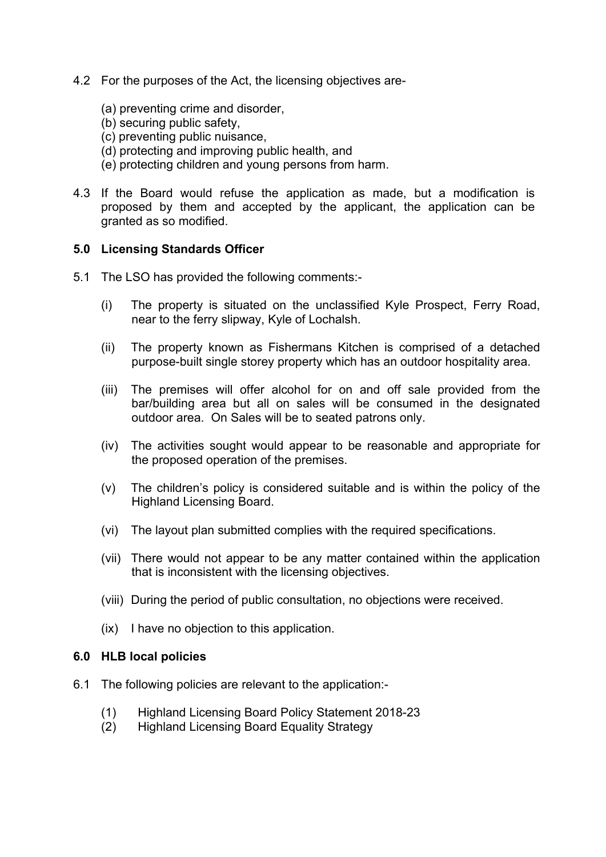- 4.2 For the purposes of the Act, the licensing objectives are-
	- (a) preventing crime and disorder,
	- (b) securing public safety,
	- (c) preventing public nuisance,
	- (d) protecting and improving public health, and
	- (e) protecting children and young persons from harm.
- 4.3 If the Board would refuse the application as made, but a modification is proposed by them and accepted by the applicant, the application can be granted as so modified.

### **5.0 Licensing Standards Officer**

- 5.1 The LSO has provided the following comments:-
	- (i) The property is situated on the unclassified Kyle Prospect, Ferry Road, near to the ferry slipway, Kyle of Lochalsh.
	- (ii) The property known as Fishermans Kitchen is comprised of a detached purpose-built single storey property which has an outdoor hospitality area.
	- (iii) The premises will offer alcohol for on and off sale provided from the bar/building area but all on sales will be consumed in the designated outdoor area. On Sales will be to seated patrons only.
	- (iv) The activities sought would appear to be reasonable and appropriate for the proposed operation of the premises.
	- (v) The children's policy is considered suitable and is within the policy of the Highland Licensing Board.
	- (vi) The layout plan submitted complies with the required specifications.
	- (vii) There would not appear to be any matter contained within the application that is inconsistent with the licensing objectives.
	- (viii) During the period of public consultation, no objections were received.
	- (ix) I have no objection to this application.

#### **6.0 HLB local policies**

- 6.1 The following policies are relevant to the application:-
	- (1) Highland Licensing Board Policy Statement 2018-23
	- (2) Highland Licensing Board Equality Strategy